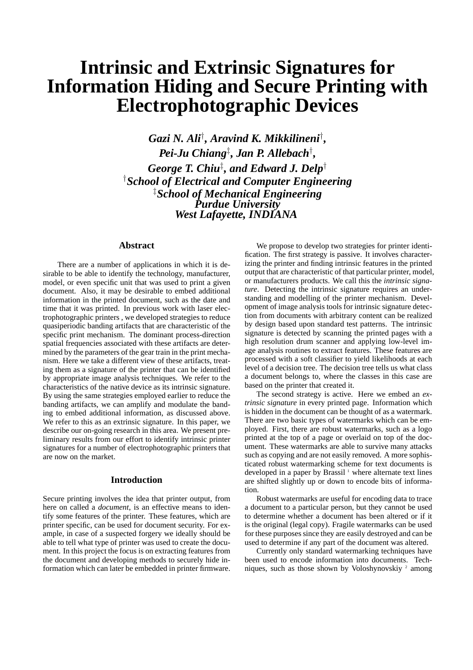# **Intrinsic and Extrinsic Signatures for Information Hiding and Secure Printing with Electrophotographic Devices**

*Gazi N. Ali*† *, Aravind K. Mikkilineni*† *, Pei-Ju Chiang*‡ *, Jan P. Allebach*† *, George T. Chiu*‡ *, and Edward J. Delp*† †*School of Electrical and Computer Engineering* ‡*School of Mechanical Engineering Purdue University West Lafayette, INDIANA*

#### **Abstract**

There are a number of applications in which it is desirable to be able to identify the technology, manufacturer, model, or even specific unit that was used to print a given document. Also, it may be desirable to embed additional information in the printed document, such as the date and time that it was printed. In previous work with laser electrophotographic printers , we developed strategies to reduce quasiperiodic banding artifacts that are characteristic of the specific print mechanism. The dominant process-direction spatial frequencies associated with these artifacts are determined by the parameters of the gear train in the print mechanism. Here we take a different view of these artifacts, treating them as a signature of the printer that can be identified by appropriate image analysis techniques. We refer to the characteristics of the native device as its intrinsic signature. By using the same strategies employed earlier to reduce the banding artifacts, we can amplify and modulate the banding to embed additional information, as discussed above. We refer to this as an extrinsic signature. In this paper, we describe our on-going research in this area. We present preliminary results from our effort to identify intrinsic printer signatures for a number of electrophotographic printers that are now on the market.

#### **Introduction**

Secure printing involves the idea that printer output, from here on called a *document*, is an effective means to identify some features of the printer. These features, which are printer specific, can be used for document security. For example, in case of a suspected forgery we ideally should be able to tell what type of printer was used to create the document. In this project the focus is on extracting features from the document and developing methods to securely hide information which can later be embedded in printer firmware.

We propose to develop two strategies for printer identification. The first strategy is passive. It involves characterizing the printer and finding intrinsic features in the printed output that are characteristic of that particular printer, model, or manufacturers products. We call this the *intrinsic signature*. Detecting the intrinsic signature requires an understanding and modelling of the printer mechanism. Development of image analysis tools for intrinsic signature detection from documents with arbitrary content can be realized by design based upon standard test patterns. The intrinsic signature is detected by scanning the printed pages with a high resolution drum scanner and applying low-level image analysis routines to extract features. These features are processed with a soft classifier to yield likelihoods at each level of a decision tree. The decision tree tells us what class a document belongs to, where the classes in this case are based on the printer that created it.

The second strategy is active. Here we embed an *extrinsic signature* in every printed page. Information which is hidden in the document can be thought of as a watermark. There are two basic types of watermarks which can be employed. First, there are robust watermarks, such as a logo printed at the top of a page or overlaid on top of the document. These watermarks are able to survive many attacks such as copying and are not easily removed. A more sophisticated robust watermarking scheme for text documents is developed in a paper by Brassil<sup>1</sup> where alternate text lines are shifted slightly up or down to encode bits of information.

Robust watermarks are useful for encoding data to trace a document to a particular person, but they cannot be used to determine whether a document has been altered or if it is the original (legal copy). Fragile watermarks can be used for these purposes since they are easily destroyed and can be used to determine if any part of the document was altered.

Currently only standard watermarking techniques have been used to encode information into documents. Techniques, such as those shown by Voloshynovskiy<sup>2</sup> among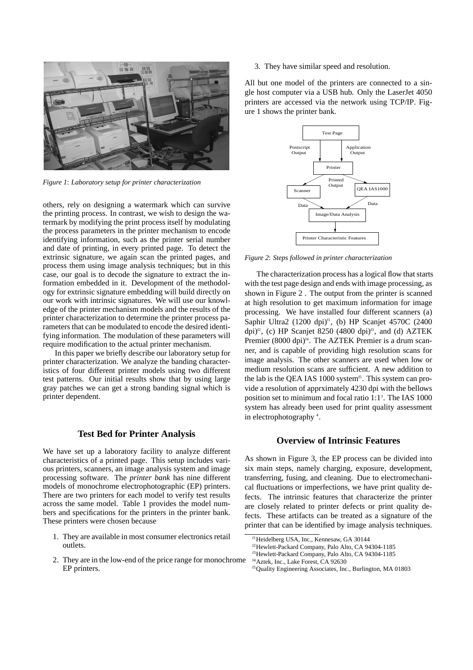

*Figure 1*: *Laboratory setup for printer characterization*

others, rely on designing a watermark which can survive the printing process. In contrast, we wish to design the watermark by modifying the print process itself by modulating the process parameters in the printer mechanism to encode identifying information, such as the printer serial number and date of printing, in every printed page. To detect the extrinsic signature, we again scan the printed pages, and process them using image analysis techniques; but in this case, our goal is to decode the signature to extract the information embedded in it. Development of the methodology for extrinsic signature embedding will build directly on our work with intrinsic signatures. We will use our knowledge of the printer mechanism models and the results of the printer characterization to determine the printer process parameters that can be modulated to encode the desired identifying information. The modulation of these parameters will require modification to the actual printer mechanism.

In this paper we briefly describe our laboratory setup for printer characterization. We analyze the banding characteristics of four different printer models using two different test patterns. Our initial results show that by using large gray patches we can get a strong banding signal which is printer dependent.

## **Test Bed for Printer Analysis**

We have set up a laboratory facility to analyze different characteristics of a printed page. This setup includes various printers, scanners, an image analysis system and image processing software. The *printer bank* has nine different models of monochrome electrophotographic (EP) printers. There are two printers for each model to verify test results across the same model. Table 1 provides the model numbers and specifications for the printers in the printer bank. These printers were chosen because

- 1. They are available in most consumer electronics retail outlets.
- 2. They are in the low-end of the price range for monochrome EP printers.

3. They have similar speed and resolution.

All but one model of the printers are connected to a single host computer via a USB hub. Only the LaserJet 4050 printers are accessed via the network using TCP/IP. Figure 1 shows the printer bank.



*Figure 2*: *Steps followed in printer characterization*

The characterization process has a logical flow that starts with the test page design and ends with image processing, as shown in Figure 2 . The output from the printer is scanned at high resolution to get maximum information for image processing. We have installed four different scanners (a) Saphir Ultra2 (1200 dpi) $\text{f}$ 1, (b) HP Scanjet 4570C (2400 dpi)<sup> $\alpha$ </sup>, (c) HP Scanjet 8250 (4800 dpi) $\beta$ , and (d) AZTEK Premier (8000 dpi)<sup>*f4*</sup>. The AZTEK Premier is a drum scanner, and is capable of providing high resolution scans for image analysis. The other scanners are used when low or medium resolution scans are sufficient. A new addition to the lab is the QEA IAS 1000 system<sup>15</sup>. This system can provide a resolution of apprximately 4230 dpi with the bellows position set to minimum and focal ratio 1:1<sup>3</sup>. The IAS 1000 system has already been used for print quality assessment in electrophotography<sup>4</sup>.

## **Overview of Intrinsic Features**

As shown in Figure 3, the EP process can be divided into six main steps, namely charging, exposure, development, transferring, fusing, and cleaning. Due to electromechanical fluctuations or imperfections, we have print quality defects. The intrinsic features that characterize the printer are closely related to printer defects or print quality defects. These artifacts can be treated as a signature of the printer that can be identified by image analysis techniques.

f<sup>1</sup>Heidelberg USA, Inc., Kennesaw, GA 30144

f2Hewlett-Packard Company, Palo Alto, CA 94304-1185

f3Hewlett-Packard Company, Palo Alto, CA 94304-1185

f4Aztek, Inc., Lake Forest, CA 92630

f5Quality Engineering Associates, Inc., Burlington, MA 01803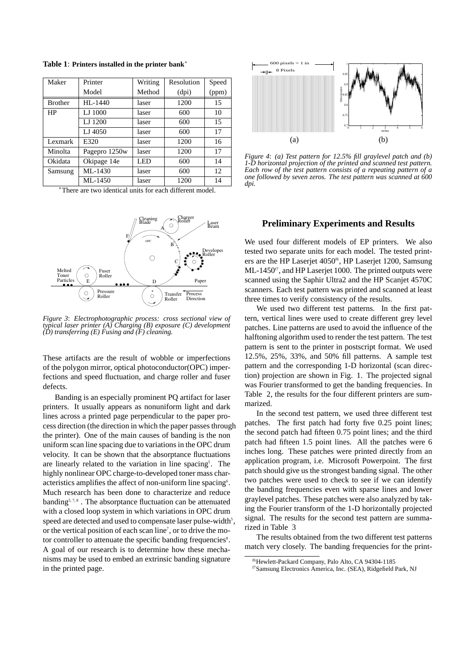| Maker          | Printer       | Writing | Resolution | Speed |
|----------------|---------------|---------|------------|-------|
|                | Model         | Method  | (dpi)      | (ppm) |
| <b>Brother</b> | $HI - 1440$   | laser   | 1200       | 15    |
| HP             | LJ 1000       | laser   | 600        | 10    |
|                | LJ 1200       | laser   | 600        | 15    |
|                | LJ 4050       | laser   | 600        | 17    |
| Lexmark        | E320          | laser   | 1200       | 16    |
| Minolta        | Pagepro 1250w | laser   | 1200       | 17    |
| Okidata        | Okipage 14e   | LED     | 600        | 14    |
| Samsung        | ML-1430       | laser   | 600        | 12    |
|                | ML-1450       | laser   | 1200       | 14    |

**Table 1**: **Printers installed in the printer bank**<sup>∗</sup>

<sup>∗</sup>There are two identical units for each different model.



*Figure 3*: *Electrophotographic process: cross sectional view of typical laser printer (A) Charging (B) exposure (C) development (D) transferring (E) Fusing and (F) cleaning.*

These artifacts are the result of wobble or imperfections of the polygon mirror, optical photoconductor(OPC) imperfections and speed fluctuation, and charge roller and fuser defects.

Banding is an especially prominent PQ artifact for laser printers. It usually appears as nonuniform light and dark lines across a printed page perpendicular to the paper process direction (the direction in which the paper passes through the printer). One of the main causes of banding is the non uniform scan line spacing due to variations in the OPC drum velocity. It can be shown that the absorptance fluctuations are linearly related to the variation in line spacing<sup>5</sup>. The highly nonlinear OPC charge-to-developed toner mass characteristics amplifies the affect of non-uniform line spacing<sup>6</sup>. Much research has been done to characterize and reduce banding<sup>5, 7, 8</sup>. The absorptance fluctuation can be attenuated with a closed loop system in which variations in OPC drum speed are detected and used to compensate laser pulse-width<sup>5</sup>, or the vertical position of each scan line<sup>7</sup>, or to drive the motor controller to attenuate the specific banding frequencies<sup>8</sup>. A goal of our research is to determine how these mechanisms may be used to embed an extrinsic banding signature in the printed page.



*Figure 4*: *(a) Test pattern for 12.5% fill graylevel patch and (b) 1-D horizontal projection of the printed and scanned test pattern. Each row of the test pattern consists of a repeating pattern of a one followed by seven zeros. The test pattern was scanned at 600 dpi.*

## **Preliminary Experiments and Results**

We used four different models of EP printers. We also tested two separate units for each model. The tested printers are the HP Laserjet 4050f6, HP Laserjet 1200, Samsung  $ML-1450<sup>f</sup>$ , and HP Laserjet 1000. The printed outputs were scanned using the Saphir Ultra2 and the HP Scanjet 4570C scanners. Each test pattern was printed and scanned at least three times to verify consistency of the results.

We used two different test patterns. In the first pattern, vertical lines were used to create different grey level patches. Line patterns are used to avoid the influence of the halftoning algorithm used to render the test pattern. The test pattern is sent to the printer in postscript format. We used 12.5%, 25%, 33%, and 50% fill patterns. A sample test pattern and the corresponding 1-D horizontal (scan direction) projection are shown in Fig. 1. The projected signal was Fourier transformed to get the banding frequencies. In Table 2, the results for the four different printers are summarized.

In the second test pattern, we used three different test patches. The first patch had forty five 0.25 point lines; the second patch had fifteen 0.75 point lines; and the third patch had fifteen 1.5 point lines. All the patches were 6 inches long. These patches were printed directly from an application program, i.e. Microsoft Powerpoint. The first patch should give us the strongest banding signal. The other two patches were used to check to see if we can identify the banding frequencies even with sparse lines and lower graylevel patches. These patches were also analyzed by taking the Fourier transform of the 1-D horizontally projected signal. The results for the second test pattern are summarized in Table 3

The results obtained from the two different test patterns match very closely. The banding frequencies for the print-

f6Hewlett-Packard Company, Palo Alto, CA 94304-1185

f7Samsung Electronics America, Inc. (SEA), Ridgefield Park, NJ